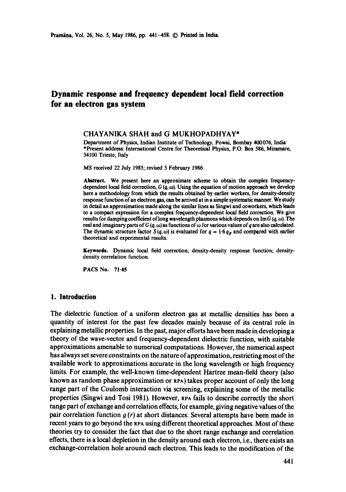# **Dynamic response and frequency dependent local field correction for an electron gas system**

### CHAYANIKA SHAH and G MUKHOPADHYAY\*

Department of Physics, Indian Institute of Technology, Powai, Bombay 400076, India \*Present address: International Centre for Theoretical Physics, P.O. Box 586, Miramare, 34100 Trieste, Italy

MS received 22 July 1985; revised 5 February 1986

Abstract. We present here an approximate scheme to obtain the complex frequencydependent local field correction,  $G(q, \omega)$ . Using the equation of motion approach we develop here a methodology from which the results obtained by earlier workers, for density-density response function ofan electron gas, can be arrived at in a simple systematic manner. We study in detail an approximation made along the similar lines as Singwi and coworkers, which leads to a compact expression for a complex frequency-dependent local field correction. We give results for damping coefficient of long wavelength plasmons which depends on Im G  $(q, \omega)$ . The real and imaginary parts of G  $(q, \omega)$  as functions of  $\omega$  for various values of q are also calculated. The dynamic structure factor S( $q$ ,  $\omega$ ) is evaluated for  $q = 1.6 q<sub>F</sub>$  and compared with earlier theoretical and experimental results.

Keywords. Dynamic local field correction; density-density response function; densitydensity correlation function.

PACS No. 71-45

### **1. Introduction**

The dielectric function of a uniform electron gas at metallic densities has been a quantity of interest for the past few decades mainly because of its central role in explaining metallic properties. In the past, major efforts have been made in developing a theory of the wave-vector and frequency-dependent dielectric function, with suitable approximations amenable to numerical computations. However, the numerical aspect has always set severe constraints on the nature of approximation, restricting most of the available work to approximations accurate in the long wavelength or high frequency limits. For example, the well-known time-dependent Hartree mean-field theory (also known as random phase approximation or RPA) takes proper account of only the long range part of the Coulomb interaction via screening, explaining some of the metallic properties (Singwi and Tosi 1981). However, RPA fails to describe correctly the short range part of exchange and correlation effects, for example, giving negative values of the pair correlation function  $g(r)$  at short distances. Several attempts have been made in recent years to go beyond the RPA using different theoretical approaches. Most of these theories try to consider the fact that due to the short range exchange and correlation effects, there is a local depletion in the density around each electron, i.e., there exists an exchange-correlation hole around each electron. This leads to the modification of the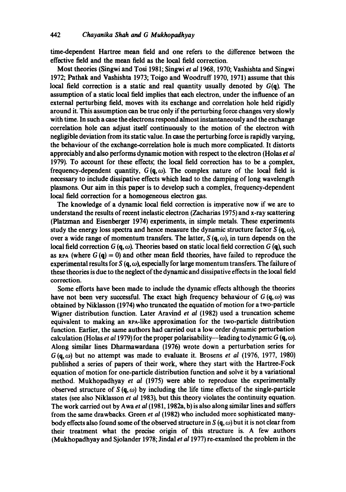time-dependent Hartree mean field and one refers to the difference between the effective field and the mean field as the local field correction.

Most theories (Singwi and Tosi 1981; Singwi *et a11968,* 1970; Vashishta and Singwi 1972; Pathak and Vashishta 1973; Toigo and Woodruff 1970, 1971) assume that this local field correction is a static and real quantity usually denoted by  $G(q)$ . The assumption of a static local field implies that each electron, under the influence of an external perturbing field, moves with its exchange and correlation hole held rigidly around it. This assumption can be true only if the perturbing force changes very slowly with time. In such a case the electrons respond almost instantaneously and the exchange correlation hole can adjust itself continuausly to the motion of the electron with negligible deviation from its static value. In case the perturbing force is rapidly varying, the behaviour of the exchange.correlation hole is much more complicated. It distorts appreciably and also performs dynamic motion with respect to the electron (Holas *et al*  1979). To account for these effects; the local field correction has to be a complex, frequency-dependent quantity,  $G(\mathbf{q}, \omega)$ . The complex nature of the local field is necessary to include dissipative effects which lead to the damping of long wavelength plasmons. Our aim in this paper is to develop such a complex, frequency-dependent local field correction for a homogeneous electron gas.

The knowledge of a dynamic local field correction is imperative now if we are to understand the results of recent inelastic electron (Zacharias 1975) and x-ray scattering (Platzman and Eisenberger 1974) experiments, in simple metals. These experiments study the energy loss spectra and hence measure the dynamic structure factor  $S(\mathbf{q}, \omega)$ , over a wide range of momentum transfers. The latter,  $S(\mathbf{q}, \omega)$ , in turn depends on the local field correction  $G(q, \omega)$ . Theories based on static local field correction  $G(q)$ , such as RPA (where  $G(q) = 0$ ) and other mean field theories, have failed to reproduce the experimental results for S  $(q, \omega)$ , especially for large momentum transfers. The failure of these theories is due to the neglect of the dynamic and dissipative effects in the local field correction.

Some efforts have been made to include the dynamic effects although the theories have not been very successful. The exact high frequency behaviour of  $G(q, \omega)$  was obtained by Niklasson (1974) who truncated the equation of motion for a two-particle Wigner distribution function. Later Aravind *et at* (1982) used a truncation scheme equivalent to making an RPA-like approximation for the two-particle distribution function. Earlier, the same authors had carried out a low order dynamic perturbation calculation (Holas *et al 1979*) for the proper polarisability-leading to dynamic  $G(\mathbf{q}, \omega)$ . Along similar lines Dharmawardana (1976) wrote down a perturbation series for  $G(q, \omega)$  but no attempt was made to evaluate it. Brosens *et al* (1976, 1977, 1980) published a series of papers of their work, where they start with the Hartree-Fock equation of motion for one-particle distribution function and solve it by a variational method. Mukhopadhyay *et al* (1975) were able to reproduce the experimentally observed structure of  $S(q, \omega)$  by including the life time effects of the single-particle states (see also Niklasson *et al* 1983), but this theory violates the continuity equation. The work carried out by Awa *et al* (1981, 1982a, b) is also along similar lines and suffers from the same drawbacks. Green *et al* (1982) who included more sophisticated manybody effects also found some of the observed structure in S  $(q, \omega)$  but it is not clear from their treatment what the precise origin of this structure is. A few authors (Mukhopadhyay and Sjolander 1978; Jindal *et a11977)* re-examined the problem in the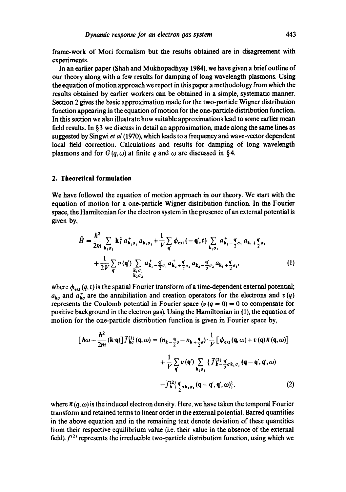frame-work of Mori formalism but the results obtained are in disagreement with experiments.

In an earlier paper (Shah and Mukhopadhyay 1984), we have given a brief outline of our theory along with a few results for damping of long wavelength plasmons. Using the equation of motion approach we report in this paper a methodology from which the results obtained by earlier workers can be obtained in a simple, systematic manner. Section 2 gives the basic approximation made for the two-particle Wigner distribution function appearing in the equation of motion for the one-particle distribution function. In this section we also illustrate how suitable approximations lead to some earlier mean field results. In §3 we discuss in detail an approximation, made along the same lines as suggested by Singwi *et al* (1970), which leads to a frequency and wave-vector dependent local field correction. Calculations and results for damping of long wavelength plasmons and for  $G(a, \omega)$  at finite q and  $\omega$  are discussed in §4.

### **2. Theoretical formulation**

We have followed the equation of motion approach in our theory. We start with the equation of motion for a one-particle Wigner distribution function. In the Fourier space, the Hamiltonian for the electron system in the presence of an external potential is given by,

$$
\hat{H} = \frac{\hbar^2}{2m} \sum_{\mathbf{k}_1 \sigma_1} \mathbf{k}_1^2 a_{\mathbf{k}_1 \sigma_1}^+ a_{\mathbf{k}_1 \sigma_1} + \frac{1}{V} \sum_{\mathbf{q}'} \phi_{ext} (-\mathbf{q}', t) \sum_{\mathbf{k}_1 \sigma_1} a_{\mathbf{k}_1}^+ - \frac{\mathbf{q}'}{2} \sigma_1 a_{\mathbf{k}_1} + \frac{\mathbf{q}'}{2} \sigma_1
$$
\n
$$
+ \frac{1}{2V} \sum_{\mathbf{q}'} v(\mathbf{q}') \sum_{\mathbf{k}_1 \sigma_1} a_{\mathbf{k}_1}^+ - \frac{\mathbf{q}'}{2} \sigma_1 a_{\mathbf{k}_2}^+ + \frac{\mathbf{q}'}{2} \sigma_2 a_{\mathbf{k}_1} - \frac{\mathbf{q}'}{2} \sigma_2 a_{\mathbf{k}_1} + \frac{\mathbf{q}'}{2} \sigma_1,
$$
\n(1)

where  $\phi_{ext}(q, t)$  is the spatial Fourier transform of a time-dependent external potential;  $a_{\mathbf{k}\sigma}$  and  $a_{\mathbf{k}\sigma}^{+}$  are the annihiliation and creation operators for the electrons and  $v(q)$ represents the Coulomb potential in Fourier space  $(v (q = 0) = 0$  to compensate for positive background in the electron gas). Using the Hamiltonian in (1), the equation of motion for the one-particle distribution function is given in Fourier space by,

$$
\begin{aligned}\n\left[\hbar\omega - \frac{\hbar^2}{2m}(\mathbf{k}\cdot\mathbf{q})\right] \vec{f}_{\mathbf{k}\sigma}^{(1)}\left(\mathbf{q},\omega\right) &= (n_{\mathbf{k}-\frac{\mathbf{q}}{2}\sigma} - n_{\mathbf{k}+\frac{\mathbf{q}}{2}\sigma}) \cdot \frac{1}{V} \left[\phi_{\text{ext}}\left(\mathbf{q},\omega\right) + v\left(\mathbf{q}\right)\vec{n}\left(\mathbf{q},\omega\right)\right] \\
&\quad + \frac{1}{V} \sum_{\mathbf{q}'} v\left(\mathbf{q}'\right) \sum_{\mathbf{k}_1\sigma_1} \left\{\vec{f}_{\mathbf{k}-\frac{\mathbf{q}}{2}\sigma\mathbf{k}_1\sigma_1}^{(2)}\left(\mathbf{q}-\mathbf{q}',\mathbf{q}',\omega\right)\right. \\
&\quad \left. - \vec{f}_{\mathbf{k}+\frac{\mathbf{q}}{2}\sigma\mathbf{k}_1\sigma_1}^{(2)}\left(\mathbf{q}-\mathbf{q}',\mathbf{q}',\omega\right)\right\},\n\end{aligned} \tag{2}
$$

where  $\bar{n}(q,\omega)$  is the induced electron density. Here, we have taken the temporal Fourier transform and retained terms to linear order in the external potential. Barred quantities in the above equation and in the remaining text denote deviation of these quantities from their respective equilibrium value (i.e. their value in the absence of the external field).  $f^{(2)}$  represents the irreducible two-particle distribution function, using which we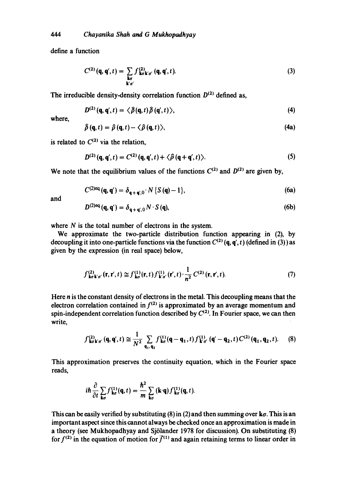define a function

$$
C^{(2)}(\mathbf{q}, \mathbf{q}', t) = \sum_{\substack{\mathbf{k}\sigma \\ \mathbf{k}'\sigma'}} f_{\mathbf{k}\sigma\mathbf{k}'\sigma'}^{(2)}(\mathbf{q}, \mathbf{q}', t). \tag{3}
$$

The irreducible density-density correlation function  $D^{(2)}$  defined as,

$$
D^{(2)}(\mathbf{q},\mathbf{q}',t)=\langle\,\hat{\boldsymbol{\beta}}(\mathbf{q},t)\,\hat{\boldsymbol{\beta}}(\mathbf{q}',t)\,\rangle,\tag{4}
$$

where,

$$
\hat{\rho}(\mathbf{q},t)=\hat{\rho}(\mathbf{q},t)-\langle\hat{\rho}(\mathbf{q},t)\rangle,\tag{4a}
$$

is related to  $C^{(2)}$  via the relation,

$$
D^{(2)}(\mathbf{q},\mathbf{q}',t)=C^{(2)}(\mathbf{q},\mathbf{q}',t)+\langle\hat{\rho}(\mathbf{q}+\mathbf{q}',t)\rangle.
$$
 (5)

We note that the equilibrium values of the functions  $C^{(2)}$  and  $D^{(2)}$  are given by,

$$
C^{(2) \text{eq}}(\mathbf{q}, \mathbf{q}') = \delta_{\mathbf{q} + \mathbf{q}', 0} \cdot N \{ S(\mathbf{q}) - 1 \},\tag{6a}
$$

and

$$
D^{(2)\text{eq}}(\mathbf{q}, \mathbf{q}') = \delta_{\mathbf{q} + \mathbf{q}',0} N \cdot S(\mathbf{q}),\tag{6b}
$$

where  $N$  is the total number of electrons in the system.

We approximate the two-particle distribution function appearing in (2), by decoupling it into one-particle functions via the function  $C^{(2)}$  (q, q', t) (defined in (3)) as given by the expression (in real space) below,

$$
f_{\mathbf{k}\sigma\mathbf{k}'\sigma'}^{(2)}(\mathbf{r},\mathbf{r}',t)\cong f_{\mathbf{k}\sigma}^{(1)}(\mathbf{r},t)f_{\mathbf{k}'\sigma'}^{(1)}(\mathbf{r}',t)\cdot\frac{1}{n^2}C^{(2)}(\mathbf{r},\mathbf{r}',t). \tag{7}
$$

Here n is the constant density of electrons in the metal. This decoupling means that the electron correlation contained in  $f^{(2)}$  is approximated by an average momentum and spin-independent correlation function described by  $C^{(2)}$ . In Fourier space, we can then write,

$$
f_{k\sigma k'\sigma'}^{(2)}(\mathbf{q},\mathbf{q}',t) \cong \frac{1}{N^2} \sum_{\mathbf{q}_1,\mathbf{q}_2} f_{k\sigma}^{(1)}(\mathbf{q}-\mathbf{q}_1,t) f_{k'\sigma'}^{(1)}(\mathbf{q}'-\mathbf{q}_2,t) C^{(2)}(\mathbf{q}_1,\mathbf{q}_2,t).
$$
 (8)

This approximation preserves the continuity equation, which in the Fourier space reads,

$$
i\hbar \frac{\partial}{\partial t} \sum_{\mathbf{k}\sigma} f_{\mathbf{k}\sigma}^{(1)}(\mathbf{q},t) = \frac{\hbar^2}{m} \sum_{\mathbf{k}\sigma} (\mathbf{k}\cdot\mathbf{q}) f_{\mathbf{k}\sigma}^{(1)}(\mathbf{q},t).
$$

This can be easily verified by substituting (8) in (2) and then summing over  $k\sigma$ . This is an important aspect since this cannot always be checked once an approximation is made in a theory (see Mukhopadhyay and Sj61ander 1978 for discussion). On substituting (8) for  $f^{(2)}$  in the equation of motion for  $\bar{f}^{(1)}$  and again retaining terms to linear order in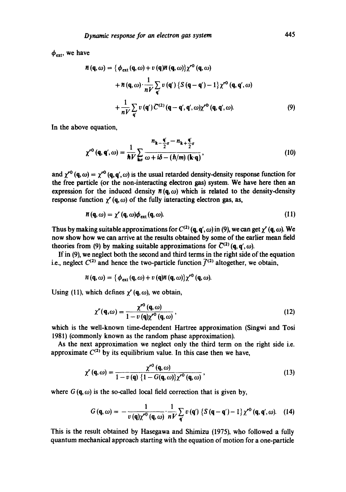$\phi_{\text{ext}}$ , we have

$$
\overline{n}(\mathbf{q},\omega) = \left\{\phi_{\text{ext}}(\mathbf{q},\omega) + v(\mathbf{q})\overline{n}(\mathbf{q},\omega)\right\} \chi^{r0}(\mathbf{q},\omega)
$$
  
+ 
$$
\overline{n}(\mathbf{q},\omega) \cdot \frac{1}{nV} \sum_{\mathbf{q}} v(\mathbf{q}') \left\{S(\mathbf{q}-\mathbf{q}') - 1\right\} \chi^{r0}(\mathbf{q},\mathbf{q}',\omega)
$$
  
+ 
$$
\frac{1}{nV} \sum_{\mathbf{q}} v(\mathbf{q}') \overline{C}^{(2)}(\mathbf{q}-\mathbf{q}',\mathbf{q}',\omega) \chi^{r0}(\mathbf{q},\mathbf{q}',\omega). \tag{9}
$$

In the above equation,

$$
\chi^{r0}(\mathbf{q}, \mathbf{q}', \omega) = \frac{1}{\hbar V} \sum_{\mathbf{k}\sigma} \frac{n_{\mathbf{k}} - \frac{\mathbf{q}'}{2}\sigma - n_{\mathbf{k}} + \frac{\mathbf{q}'}{2}\sigma}{\omega + i\delta - (\hbar/m) (\mathbf{k} \cdot \mathbf{q})},
$$
(10)

and  $\chi^{r0}$  (q,  $\omega$ ) =  $\chi^{r0}$  (q, q',  $\omega$ ) is the usual retarded density-density response function for the free particle (or the non-interacting electron gas) system. We have here then an expression for the induced density  $\bar{n}(\mathbf{q}, \omega)$  which is related to the density-density response function  $\gamma'$  (q,  $\omega$ ) of the fully interacting electron gas, as,

$$
\pi(\mathbf{q},\omega)=\chi'(\mathbf{q},\omega)\phi_{\text{ext}}(\mathbf{q},\omega). \hspace{1cm} (11)
$$

Thus by making suitable approximations for  $C^{(2)}$  (q, q',  $\omega$ ) in (9), we can get  $\chi'$  (q,  $\omega$ ). We now show how we can arrive at the results obtained by some of the earlier mean field theories from (9) by making suitable approximations for  $C^{(2)}$  (q, q',  $\omega$ ).

If in (9), we neglect both the second and third terms in the right side of the equation i.e., neglect  $C^{(2)}$  and hence the two-particle function  $\bar{f}^{(2)}$  altogether, we obtain,

$$
H(\mathbf{q},\omega)=\{\phi_{\text{ext}}(\mathbf{q},\omega)+v(\mathbf{q})\overline{n}(\mathbf{q},\omega)\}\chi^{r\mathbf{0}}(\mathbf{q},\omega).
$$

Using (11), which defines  $\gamma'$  (q,  $\omega$ ), we obtain,

$$
\chi''(\mathbf{q},\omega) = \frac{\chi^{r0}(\mathbf{q},\omega)}{1 - v(\mathbf{q})\chi^{r0}(\mathbf{q},\omega)},
$$
\n(12)

which is the well-known time-dependent Hartree approximation (Singwi and Tosi 1981) (commonly known as the random phase approximation).

As the next approximation we neglect only the third term on the right side i.e. approximate  $C^{(2)}$  by its equilibrium value. In this case then we have,

$$
\chi'(\mathbf{q},\omega) = \frac{\chi'^0(\mathbf{q},\omega)}{1 - v(\mathbf{q})\left\{1 - G(\mathbf{q},\omega)\right\}\chi'^0(\mathbf{q},\omega)},\tag{13}
$$

where  $G(q, \omega)$  is the so-called local field correction that is given by,

$$
G(\mathbf{q},\omega)=-\frac{1}{v(\mathbf{q})\chi^{r0}(\mathbf{q},\omega)}\cdot\frac{1}{nV}\sum_{\mathbf{q}'}v(\mathbf{q}')\left\{S(\mathbf{q}-\mathbf{q}')-1\right\}\chi^{r0}(\mathbf{q},\mathbf{q}',\omega). \quad (14)
$$

This is the result obtained by Hasegawa and Shimizu (1975), who followed a fully quantum mechanical approach starting with the equation of motion for a one-particle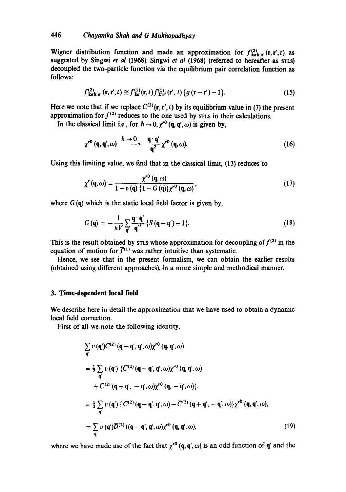Wigner distribution function and made an approximation for  $f_{\mathbf{k}\sigma\mathbf{k}'\sigma'}^{(2)}(\mathbf{r},\mathbf{r}',t)$  as suggested by Singwi *et al* (1968). Singwi *et al* (1968) (referred to hereafter as STLS) decoupled the two-particle function via the equilibrium pair correlation function as follows:

$$
f_{\mathbf{k}\sigma\mathbf{k}'\sigma'}^{(2)}(\mathbf{r},\mathbf{r}',t)\cong f_{\mathbf{k}\sigma}^{(1)}(\mathbf{r},t)f_{\mathbf{k}'\sigma'}^{(1)}(\mathbf{r}',t)\{g(\mathbf{r}-\mathbf{r}')-1\}.
$$
 (15)

Here we note that if we replace  $C^{(2)}(\mathbf{r}, \mathbf{r}', t)$  by its equilibrium value in (7) the present approximation for  $f^{(2)}$  reduces to the one used by STLS in their calculations.

In the classical limit i.e., for  $h \to 0$ ,  $\gamma^{0}$  (q, q',  $\omega$ ) is given by,

$$
\chi^{r0}(\mathbf{q},\mathbf{q}',\omega) \xrightarrow{\hbar \to 0} \frac{\mathbf{q} \cdot \mathbf{q}'}{\mathbf{q}^2} \chi^{r0}(\mathbf{q},\omega). \tag{16}
$$

Using this limiting value, we find that in the classical limit, (13) reduces to

$$
\chi'(\mathbf{q},\omega) = \frac{\chi^{\prime\prime\prime}(\mathbf{q},\omega)}{1 - \upsilon(\mathbf{q})\left\{1 - G(\mathbf{q})\right\}\chi^{\prime\prime\prime}(\mathbf{q},\omega)},\tag{17}
$$

where  $G(q)$  which is the static local field factor is given by,

$$
G(\mathbf{q}) = -\frac{1}{nV} \sum_{\mathbf{q}'} \frac{\mathbf{q} \cdot \mathbf{q'}}{\mathbf{q'}^2} \left\{ S\left(\mathbf{q} - \mathbf{q'}\right) - 1 \right\}.
$$
 (18)

This is the result obtained by STLS whose approximation for decoupling of  $f^{(2)}$  in the equation of motion for  $\bar{f}^{(1)}$  was rather intuitive than systematic.

Hence, we see that in the present formalism, we can obtain the earlier results (obtained using different approaches), in a more simple and methodical manner.

### **3. Time-dependent local field**

We describe here in detail the approximation that we have used to obtain a dynamic local field correction.

First of all we note the following identity,

$$
\sum_{\mathbf{q}'} v(\mathbf{q}')C^{(2)} (\mathbf{q} - \mathbf{q}', \mathbf{q}', \omega) \chi^{r0} (\mathbf{q}, \mathbf{q}', \omega)
$$
  
\n
$$
= \frac{1}{2} \sum_{\mathbf{q}'} v(\mathbf{q}') \{ C^{(2)} (\mathbf{q} - \mathbf{q}', \mathbf{q}', \omega) \chi^{r0} (\mathbf{q}, \mathbf{q}', \omega)
$$
  
\n
$$
+ C^{(2)} (\mathbf{q} + \mathbf{q}', -\mathbf{q}', \omega) \chi^{r0} (\mathbf{q}, -\mathbf{q}', \omega) \},
$$
  
\n
$$
= \frac{1}{2} \sum_{\mathbf{q}'} v(\mathbf{q}') \{ C^{(2)} (\mathbf{q} - \mathbf{q}', \mathbf{q}', \omega) - C^{(2)} (\mathbf{q} + \mathbf{q}', -\mathbf{q}', \omega) \} \chi^{r0} (\mathbf{q}, \mathbf{q}', \omega),
$$
  
\n
$$
= \sum_{\mathbf{q}'} v(\mathbf{q}') D^{(2)} ((\mathbf{q} - \mathbf{q}', \mathbf{q}', \omega) \chi^{r0} (\mathbf{q}, \mathbf{q}', \omega),
$$
 (19)

where we have made use of the fact that  $\chi^{r0}$  (q, q',  $\omega$ ) is an odd function of q' and the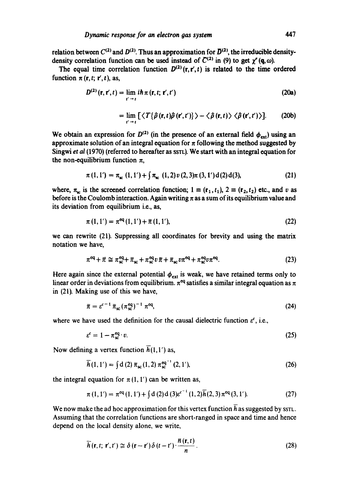relation between  $C^{(2)}$  and  $D^{(2)}$ . Thus an approximation for  $\bar{D}^{(2)}$ , the irreducible densitydensity correlation function can be used instead of  $C^{(2)}$  in (9) to get  $\gamma'(\mathbf{q},\omega)$ .

The equal time correlation function  $D^{(2)}(r,r',t)$  is related to the time ordered function  $\pi$  (r, t; r', t), as,

$$
D^{(2)}(\mathbf{r},\mathbf{r}',t)=\lim_{t'\to t}i\hbar\,\pi\,(\mathbf{r},t;\,\mathbf{r}',t')\tag{20a}
$$

$$
= \lim_{t' \to t} \left[ \langle T\{\hat{\rho}(\mathbf{r},t)\hat{\rho}(\mathbf{r}',t')\} \rangle - \langle \hat{\rho}(\mathbf{r},t) \rangle \langle \hat{\rho}(\mathbf{r}',t') \rangle \right]. \tag{20b}
$$

We obtain an expression for  $D^{(2)}$  (in the presence of an external field  $\phi_{ext}$ ) using an approximate solution of an integral equation for  $\pi$  following the method suggested by Singwi *et al* (1970) (referred to hereafter as SSTL). We start with an integral equation for the non-equilibrium function  $\pi$ ,

$$
\pi(1,1') = \pi_{sc}(1,1') + \int \pi_{sc}(1,2)\nu(2,3)\pi(3,1')d(2)d(3), \qquad (21)
$$

where,  $\pi_{sc}$  is the screened correlation function;  $1 \equiv (\mathbf{r}_1, t_1), 2 \equiv (\mathbf{r}_2, t_2)$  etc., and v as before is the Coulomb interaction. Again writing  $\pi$  as a sum of its equilibrium value and its deviation from equilibrium i.e., as,

$$
\pi(1,1') = \pi^{\text{eq}}(1,1') + \bar{\pi}(1,1'),\tag{22}
$$

we can rewrite (21). Suppressing all coordinates for brevity and using the matrix notation we have,

$$
\pi^{\text{eq}} + \bar{\pi} \cong \pi_{\text{sc}}^{\text{eq}} + \bar{\pi}_{\text{sc}} + \pi_{\text{sc}}^{\text{eq}} v \bar{\pi} + \bar{\pi}_{\text{sc}} v \pi^{\text{eq}} + \pi_{\text{sc}}^{\text{eq}} v \pi^{\text{eq}}.
$$
 (23)

Here again since the external potential  $\phi_{ext}$  is weak, we have retained terms only to linear order in deviations from equilibrium.  $\pi$ <sup>eq</sup> satisfies a similar integral equation as  $\pi$ in (21). Making use of this we have,

$$
\overline{\pi} = \varepsilon^{c-1} \overline{\pi}_{\rm sc} (\pi_{\rm sc}^{\rm eq})^{-1} \pi^{\rm eq}, \qquad (24)
$$

where we have used the definition for the causal dielectric function  $\varepsilon^c$ , i.e.,

$$
\varepsilon^c = 1 - \pi_{\rm sc}^{\rm eq} \cdot v. \tag{25}
$$

Now defining a vertex function  $\overline{h}(1,1')$  as,

$$
\overline{h}(1,1') = \int d(2) \overline{\pi}_{sc}(1,2) \pi_{sc}^{eq^{-1}}(2,1'),
$$
\n(26)

the integral equation for  $\pi(1,1')$  can be written as,

$$
\pi(1,1') = \pi^{\text{eq}}(1,1') + \int d(2) d(3) e^{c^{-1}}(1,2) \overline{h}(2,3) \pi^{\text{eq}}(3,1'). \tag{27}
$$

We now make the ad hoc approximation for this vertex function  $\overline{h}$  as suggested by ssrt. Assuming that the correlation functions are short-ranged in space and time and hence depend on the local density alone, we write,

$$
\overline{h}(\mathbf{r},t;\mathbf{r}',t') \cong \delta(\mathbf{r}-\mathbf{r}')\delta(t-t')\cdot\frac{\overline{n}(\mathbf{r},t)}{n}.
$$
 (28)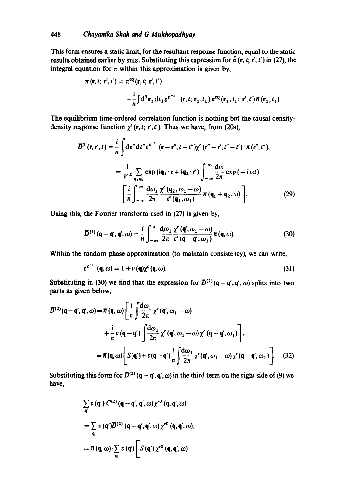This form ensures a static limit, for the resultant response function, equal to the static results obtained earlier by STLS. Substituting this expression for  $\bar{h}$  (r, t; r', t') in (27), the integral equation for  $\pi$  within this approximation is given by,

$$
\pi(\mathbf{r},t;\mathbf{r}',t') = \pi^{\text{eq}}(\mathbf{r},t;\mathbf{r}',t')
$$
  
+ 
$$
\frac{1}{n} \int d^{3} \mathbf{r}_{1} dt_{1} e^{c^{-1}} (\mathbf{r},t;\mathbf{r}_{1},t_{1}) \pi^{\text{eq}}(\mathbf{r}_{1},t_{1};\mathbf{r}',t') \bar{n}(\mathbf{r}_{1},t_{1}).
$$

The equilibrium time-ordered correlation function is nothing but the causal densitydensity response function  $\chi^c$  (r, t; r', t'). Thus we have, from (20a),

$$
D^{2}(\mathbf{r}, \mathbf{r}', t) = \frac{i}{n} \int d\mathbf{r}'' dt'' \varepsilon^{c^{-1}} (\mathbf{r} - \mathbf{r}'', t - t'') \chi^{c} (\mathbf{r}'' - \mathbf{r}', t'' - t') \cdot \overline{n} (\mathbf{r}'', t''),
$$
  

$$
= \frac{1}{V^{2}} \sum_{\mathbf{q}_{1} \mathbf{q}_{2}} \exp(i\mathbf{q}_{1} \cdot \mathbf{r} + i\mathbf{q}_{2} \cdot \mathbf{r}') \int_{-\infty}^{\infty} \frac{d\omega}{2\pi} \exp(-i\omega t)
$$
  

$$
\left[ \frac{i}{n} \int_{-\infty}^{\infty} \frac{d\omega_{1}}{2\pi} \frac{\chi^{c}(\mathbf{q}_{2}, \omega_{1} - \omega)}{\varepsilon^{c}(\mathbf{q}_{1}, \omega_{1})} \overline{n} (\mathbf{q}_{1} + \mathbf{q}_{2}, \omega) \right].
$$
 (29)

Using this, the Fourier transform used in (27) is given by,

 $\overline{a}$ 

$$
\mathcal{D}^{(2)}(\mathbf{q}-\mathbf{q}',\mathbf{q}',\omega)=\frac{i}{n}\int_{-\infty}^{\infty}\frac{\mathrm{d}\omega_1}{2\pi}\frac{\chi^{\epsilon}(\mathbf{q}',\omega_1-\omega)}{\epsilon^{\epsilon}(\mathbf{q}-\mathbf{q}',\omega_1)}\,\pi(\mathbf{q},\omega). \tag{30}
$$

Within the random phase approximation (to maintain consistency), we can write,

$$
\varepsilon^{c^{-1}} \left( \mathbf{q}, \omega \right) = 1 + v \left( \mathbf{q} \right) \chi^c \left( \mathbf{q}, \omega \right). \tag{31}
$$

Substituting in (30) we find that the expression for  $\bar{D}^{(2)}(\mathbf{q}-\mathbf{q}', \mathbf{q}', \omega)$  splits into two parts as given below,

$$
D^{(2)}(\mathbf{q}-\mathbf{q}',\mathbf{q}',\omega) = \overline{n}(\mathbf{q},\omega) \left[ \frac{i}{n} \int \frac{d\omega_1}{2\pi} \chi^c(\mathbf{q}',\omega_1-\omega) \right.
$$
  
 
$$
+ \frac{i}{n} v(\mathbf{q}-\mathbf{q}') \int \frac{d\omega_1}{2\pi} \chi^c(\mathbf{q}',\omega_1-\omega) \chi^c(\mathbf{q}-\mathbf{q}',\omega_1) \right],
$$
  
\n
$$
= \overline{n}(\mathbf{q},\omega) \left[ S(\mathbf{q}') + v(\mathbf{q}-\mathbf{q}') \frac{i}{n} \int \frac{d\omega_1}{2\pi} \chi^c(\mathbf{q}',\omega_1-\omega) \chi^c(\mathbf{q}-\mathbf{q}',\omega_1) \right].
$$
 (32)

Substituting this form for  $\bar{D}^{(2)} (q - q', q', \omega)$  in the third term on the right side of (9) we have,

$$
\sum_{\mathbf{q}'} v(\mathbf{q}') C^{(2)} (\mathbf{q} - \mathbf{q}', \mathbf{q}', \omega) \chi^{r0} (\mathbf{q}, \mathbf{q}', \omega)
$$
  
= 
$$
\sum_{\mathbf{q}} v(\mathbf{q}') D^{(2)} (\mathbf{q} - \mathbf{q}', \mathbf{q}', \omega) \chi^{r0} (\mathbf{q}, \mathbf{q}', \omega),
$$
  
= 
$$
\overline{n} (\mathbf{q}, \omega) \cdot \sum_{\mathbf{q}} v(\mathbf{q}') \Bigg[ S(\mathbf{q}') \chi^{r0} (\mathbf{q}, \mathbf{q}', \omega)
$$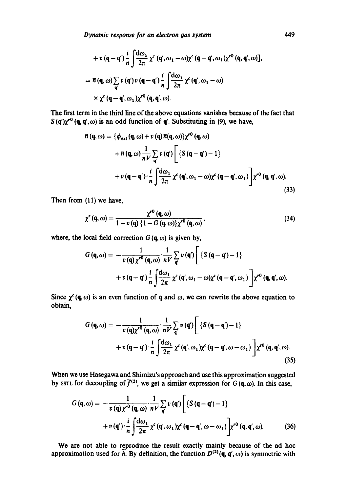*Dynamic response for an electron gas system 449* 

+ 
$$
v(\mathbf{q}-\mathbf{q}')\frac{i}{n}\int \frac{d\omega_1}{2\pi}\chi^c(\mathbf{q}', \omega_1-\omega)\chi^c(\mathbf{q}-\mathbf{q}', \omega_1)\chi^{r0}(\mathbf{q}, \mathbf{q}', \omega)],
$$
  
\n=  $\pi(\mathbf{q}, \omega)\sum_{\mathbf{q}'}v(\mathbf{q}')v(\mathbf{q}-\mathbf{q}')\frac{i}{n}\int \frac{d\omega_1}{2\pi}\chi^c(\mathbf{q}', \omega_1-\omega)$   
\n $\times \chi^c(\mathbf{q}-\mathbf{q}', \omega_1)\chi^{r0}(\mathbf{q}, \mathbf{q}', \omega).$ 

The first term in the third line of the above equations vanishes because of the fact that  $S(q')\chi^{r0}(q,q',\omega)$  is an odd function of q'. Substituting in (9), we have,

$$
\begin{split} \n\pi(\mathbf{q},\omega) &= \{\phi_{\text{ext}}(\mathbf{q},\omega) + v(\mathbf{q})\pi(\mathbf{q},\omega)\} \chi^{\text{ro}}(\mathbf{q},\omega) \\ \n&\quad + \pi(\mathbf{q},\omega) \frac{1}{nV} \sum_{\mathbf{q}} v(\mathbf{q}') \Bigg[ \left\{ S(\mathbf{q} - \mathbf{q}') - 1 \right\} \\ \n&\quad + v(\mathbf{q} - \mathbf{q}') \cdot \frac{i}{n} \int \frac{d\omega_1}{2\pi} \chi^{\text{c}}(\mathbf{q}',\omega_1 - \omega) \chi^{\text{c}}(\mathbf{q} - \mathbf{q}',\omega_1) \Bigg] \chi^{\text{ro}}(\mathbf{q},\mathbf{q}',\omega). \n\end{split} \tag{33}
$$

Then from (11) we have,

$$
\chi^r(\mathbf{q},\omega) = \frac{\chi^{r^0}(\mathbf{q},\omega)}{1 - v(\mathbf{q})\left\{1 - G(\mathbf{q},\omega)\right\}\chi^{r^0}(\mathbf{q},\omega)},\tag{34}
$$

where, the local field correction  $G(q, \omega)$  is given by,

$$
G(q,\omega) = -\frac{1}{v(q)\chi^{r0}(q,\omega)} \cdot \frac{1}{nV} \sum_{q} v(q') \left[ \{S(q-q')-1\} + v(q-q')\frac{i}{n} \int \frac{d\omega_1}{2\pi} \chi^c(q',\omega_1-\omega) \chi^c(q-q',\omega_1) \right] \chi^{r0}(q,q',\omega).
$$

Since  $\chi^c$  (q,  $\omega$ ) is an even function of q and  $\omega$ , we can rewrite the above equation to obtain,

$$
G(\mathbf{q},\omega) = -\frac{1}{v(\mathbf{q})\chi^{r^0}(\mathbf{q},\omega)} \cdot \frac{1}{nV} \sum_{\mathbf{q}} v(\mathbf{q}') \left[ \{ S(\mathbf{q}-\mathbf{q}') - 1 \} + v(\mathbf{q}-\mathbf{q}') \cdot \frac{i}{n} \int \frac{d\omega_1}{2\pi} \chi^c(\mathbf{q}',\omega_1) \chi^c(\mathbf{q}-\mathbf{q}',\omega-\omega_1) \right] \chi^{r^0}(\mathbf{q},\mathbf{q}',\omega).
$$
\n(35)

When we use Hasegawa and Shimizu's approach and use this approximation suggested by ssrt for decoupling of  $\bar{f}^{(2)}$ , we get a similar expression for  $G$  (q,  $\omega$ ). In this case,

$$
G(q,\omega) = -\frac{1}{v(q)\chi^{r^0}(q,\omega)} \cdot \frac{1}{nV} \sum_{q} v(q') \left[ \left\{ S(q-q') - 1 \right\} + v(q') \cdot \frac{i}{n} \int \frac{d\omega_1}{2\pi} \chi^c(q',\omega_1) \chi^c(q-q',\omega-\omega_1) \right] \chi^{r^0}(q,q',\omega).
$$
 (36)

We are not able to reproduce the result exactly mainly because of the ad hoc approximation used for  $\overline{h}$ . By definition, the function  $D^{(2)}(\mathbf{q}, \mathbf{q}', \omega)$  is symmetric with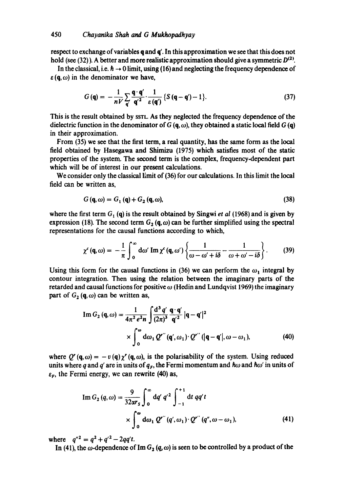respect to exchange of variables  $q$  and  $q'$ . In this approximation we see that this does not hold (see (32)). A better and more realistic approximation should give a symmetric  $D^{(2)}$ .

In the classical, i.e.  $h \rightarrow 0$  limit, using (16) and neglecting the frequency dependence of  $\varepsilon$ (q,  $\omega$ ) in the denominator we have,

$$
G(\mathbf{q}) = -\frac{1}{nV} \sum_{\mathbf{q}} \frac{\mathbf{q} \cdot \mathbf{q}'}{\mathbf{q}'^2} \cdot \frac{1}{\varepsilon(\mathbf{q}')} \left\{ S\left(\mathbf{q} - \mathbf{q}'\right) - 1 \right\}.
$$
 (37)

This is the result obtained by SSTL As they neglected the frequency dependence of the dielectric function in the denominator of  $G(\mathbf{q}, \omega)$ , they obtained a static local field  $G(\mathbf{q})$ in their approximation.

From (35) we see that the first term, a real quantity, has the same form as the local field obtained by Hasegawa and Shimizu (1975) which satisfies most of the static properties of the system. The second term is the complex, frequency-dependent part which will be of interest in our present calculations.

We consider only the classical limit of (36) for our calculations. In this limit the local field can be written as,

$$
G(\mathbf{q},\omega) = G_1(\mathbf{q}) + G_2(\mathbf{q},\omega),\tag{38}
$$

where the first term  $G_1$  (q) is the result obtained by Singwi *et al* (1968) and is given by expression (18). The second term  $G_2(\mathbf{q}, \omega)$  can be further simplified using the spectral representations for the causal functions according to which,

$$
\chi^c(\mathbf{q},\omega) = -\frac{1}{\pi} \int_0^\infty d\omega' \operatorname{Im} \chi^c(\mathbf{q},\omega') \left\{ \frac{1}{\omega - \omega' + i\delta} - \frac{1}{\omega + \omega' - i\delta} \right\}.
$$
 (39)

Using this form for the causal functions in (36) we can perform the  $\omega_1$  integral by contour integration. Then using the relation between the imaginary parts of the retarded and causal functions for positive  $\omega$  (Hedin and Lundqvist 1969) the imaginary part of  $G_2$  (q,  $\omega$ ) can be written as,

Im 
$$
G_2(\mathbf{q}, \omega) = \frac{1}{4\pi^2 e^2 n} \int \frac{\mathrm{d}^3 q'}{(2\pi)^3} \frac{\mathbf{q} \cdot \mathbf{q}'}{\mathbf{q}'^2} |\mathbf{q} - \mathbf{q}'|^2
$$
  
\n
$$
\times \int_0^\omega \mathrm{d}\omega_1 Q'''(\mathbf{q}', \omega_1) \cdot Q'''(|\mathbf{q} - \mathbf{q}'|, \omega - \omega_1), \tag{40}
$$

where  $Q^{r} (q, \omega) = -v (q) \chi^{r} (q, \omega)$ , is the polarisability of the system. Using reduced units where q and q' are in units of  $q_F$ , the Fermi momentum and  $\hbar\omega$  and  $\hbar\omega'$  in units of  $\varepsilon_{\mathbf{F}}$ , the Fermi energy, we can rewrite (40) as,

Im 
$$
G_2(q,\omega) = \frac{9}{32\alpha r_s} \int_0^{\infty} dq' q'^2 \int_{-1}^{+1} dt q q' t
$$
  
  $\times \int_0^{\omega} d\omega_1 Q''(q',\omega_1) \cdot Q''(q'',\omega-\omega_1),$  (41)

where  $q''^2 = q^2 + q'^2 - 2qq't$ .

In (41), the  $\omega$ -dependence of Im  $G_2(q,\omega)$  is seen to be controlled by a product of the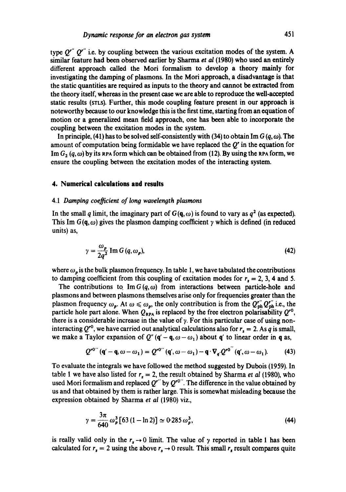type  $O^{r''}$   $O^{r''}$  i.e. by coupling between the various excitation modes of the system. A similar feature had been observed earlier by Sharrna *et al* (1980) who used an entirely different approach called the Mori formalism to develop a theory mainly for investigating the damping of plasmons. In the Mori approach, a disadvantage is that the static quantities are required as inputs to the theory and cannot be extracted from the theory itself, whereas in the present ease we are able to reproduce the well-accepted static results (STLS). Further, this mode coupling feature present in our approach is noteworthy because to our knowledge this is the first time, starting from an equation of motion or a generalized mean field approach, one has been able to incorporate the coupling between the excitation modes in the system.

In principle, (41) has to be solved self-consistently with (34) to obtain Im  $G(q,\omega)$ . The amount of computation being formidable we have replaced the  $Q<sup>r</sup>$  in the equation for Im  $G_2$   $(q,\omega)$  by its RPA form which can be obtained from (12). By using the RPA form, we ensure the coupling between the excitation modes of the interacting system.

#### **4. Numerical calculations and results**

### 4.1 Damping coefficient of long wavelength plasmons

In the small q limit, the imaginary part of  $G(q, \omega)$  is found to vary as  $q^2$  (as expected). This Im  $G(q,\omega)$  gives the plasmon damping coefficient y which is defined (in reduced units) as,

$$
\gamma = \frac{\omega_p}{2q^2} \operatorname{Im} G \left( q, \omega_p \right),\tag{42}
$$

where  $\omega_p$  is the bulk plasmon frequency. In table 1, we have tabulated the contributions to damping coefficient from this coupling of excitation modes for  $r_s = 2, 3, 4$  and 5.

The contributions to  $\text{Im } G(q, \omega)$  from interactions between particle-hole and plasmons and between plasmons themselves arise only for frequencies greater than the plasmon frequency  $\omega_p$ . At  $\omega \leq \omega_p$ , the only contribution is from the  $Q_{ph}^{r''} Q_{ph}^{r''}$  i.e., the particle hole part alone. When  $Q_{RPA}$  is replaced by the free electron polarisability  $Q^{0}$ , there is a considerable increase in the value of  $\gamma$ . For this particular case of using noninteracting  $Q^{r0}$ , we have carried out analytical calculations also for  $r_s = 2$ . As q is small, we make a Taylor expansion of  $Q''(\mathbf{q}' - \mathbf{q}, \omega - \omega_1)$  about  $\mathbf{q}'$  to linear order in q as,

$$
Q^{r0}''(\mathbf{q}'-\mathbf{q},\omega-\omega_1)=Q^{r0}''(\mathbf{q}',\omega-\omega_1)-\mathbf{q}\cdot\nabla_{\mathbf{q}'}Q^{r0}''(\mathbf{q}',\omega-\omega_1). \hspace{1cm} (43)
$$

To evaluate the integrals we have followed the method suggested by Dubois (1959). In table 1 we have also listed for  $r_s = 2$ , the result obtained by Sharma *et al* (1980), who used Mori formalism and replaced  $Q^{r''}$  by  $Q^{r0''}$ . The difference in the value obtained by us and that obtained by them is rather large. This is somewhat misleading because the expression obtained by Sharma *et al* (1980) viz.,

$$
\gamma = \frac{3\pi}{640} \omega_p^3 [63 (1 - \ln 2)] \simeq 0.285 \omega_p^3,
$$
 (44)

is really valid only in the  $r_s \rightarrow 0$  limit. The value of y reported in table 1 has been calculated for  $r_s = 2$  using the above  $r_s \rightarrow 0$  result. This small  $r_s$  result compares quite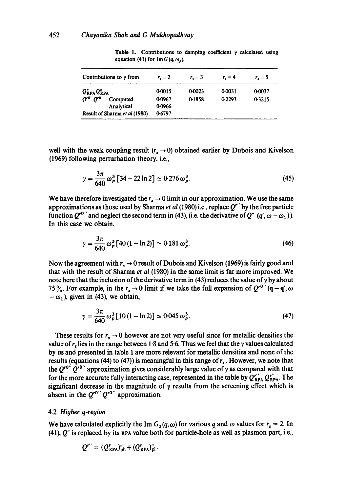| Contributions to $\gamma$ from                                                                                                               | $r_{\rm r} = 2$                      | $r_{\rm r}=3$    | $r_{\rm r} = 4$  | $r_{\rm r} = 5$  |
|----------------------------------------------------------------------------------------------------------------------------------------------|--------------------------------------|------------------|------------------|------------------|
| $Q_{\text{RPA}}^{\prime}Q_{\text{RPA}}^{\prime}$<br>$Q^{\prime 0}$ $Q^{\prime 0}$<br>Computed<br>Analytical<br>Result of Sharma et al (1980) | 0-0015<br>0-0967<br>0.0966<br>0.6797 | 0-0023<br>0-1858 | 0-0031<br>0.2293 | 0.0037<br>0.3215 |

**Table 1.** Contributions to damping coefficient  $\gamma$  calculated using equation (41) for  $\text{Im } G(q, \omega_{\mathbf{a}})$ .

well with the weak coupling result  $(r_s \rightarrow 0)$  obtained earlier by Dubois and Kivelson (1969) following perturbation theory, i.e.,

$$
\gamma = \frac{3\pi}{640} \omega_p^3 \left[ 34 - 22 \ln 2 \right] \simeq 0.276 \omega_p^3. \tag{45}
$$

We have therefore investigated the  $r<sub>s</sub> \rightarrow 0$  limit in our approximation. We use the same approximations as those used by Sharma *et al* (1980) i.e., replace *Q'"* by the free particle function  $Q^{0}$ , and neglect the second term in (43), (i.e. the derivative of  $Q''$  (q',  $\omega - \omega_1$ )). In this case we obtain,

$$
\gamma = \frac{3\pi}{640} \omega_p^3 [40 (1 - \ln 2)] \simeq 0.181 \omega_p^3. \tag{46}
$$

Now the agreement with  $r_s \rightarrow 0$  result of Dubois and Kivelson (1969) is fairly good and that with the result of Sharma *et al* (1980) in the same limit is far more improved. We note here that the inclusion of the derivative term in (43) reduces the value of  $\gamma$  by about 75%. For example, in the  $r_s \to 0$  limit if we take the full expansion of  $Q^{r0''}(\mathbf{q}-\mathbf{q}',\omega)$  $-\omega_1$ ), given in (43), we obtain,

$$
\gamma = \frac{3\pi}{640} \omega_p^3 [10 (1 - \ln 2)] \simeq 0.045 \omega_p^3. \tag{47}
$$

These results for  $r_s \to 0$  however are not very useful since for metallic densities the value of r, lies in the range between 1.8 and 5.6. Thus we feel that the  $\gamma$  values calculated by us and presented in table 1 are more relevant for metallic densities and none of the results (equations (44) to (47)) is meaningful in this range of  $r<sub>x</sub>$ . However, we note that the  $Q^{r0''}Q^{r0''}$  approximation gives considerably large value of  $\gamma$  as compared with that for the more accurate fully interacting case, represented in the table by  $Q_{RPA}^{r''} Q_{RPA}^{r''}$ . The significant decrease in the magnitude of  $\gamma$  results from the screening effect which is absent in the  $Q^{r0''}Q^{r0''}$  approximation.

### 4.2 *Higher q-region*

We have calculated explicitly the Im  $G_2(q,\omega)$  for various q and  $\omega$  values for  $r_s = 2$ . In  $(41)$ ,  $Q''$  is replaced by its RPA value both for particle-hole as well as plasmon part, i.e.,

$$
Q^{r''} = (Q^r_{\text{RPA}})^{r}_{\text{ph}} + (Q^r_{\text{RPA}})^{r}_{\text{pl}}.
$$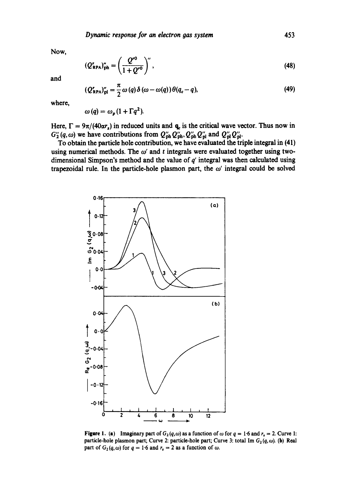Now,

$$
(Q'_{\text{RPA}})_{\text{ph}}'' = \left(\frac{Q^{r0}}{1 + Q^{r0}}\right)'',\tag{48}
$$

**and** 

$$
(Q'_{\text{RPA}})''_{\text{pl}} = \frac{\pi}{2} \omega (q) \delta (\omega - \omega(q)) \theta (q_c - q), \qquad (49)
$$

where,

$$
\omega(q)=\omega_p(1+\Gamma q^2).
$$

Here,  $\Gamma = 9\pi/(40\alpha r_s)$  in reduced units and  $q_c$  is the critical wave vector. Thus now in  $G_2^{\prime\prime}(q,\omega)$  we have contributions from  $Q_{\rm ph}^{\prime\prime}Q_{\rm ph}^{\prime\prime}$ ,  $Q_{\rm ph}^{\prime\prime}Q_{\rm pl}^{\prime\prime}$  and  $Q_{\rm pl}^{\prime\prime}Q_{\rm pl}^{\prime\prime}$ .

To obtain the particle hole contribution, we have evaluated the triple integral in (41) using numerical methods. The  $\omega'$  and t integrals were evaluated together using twodimensional Simpson's method and the value of  $q'$  integral was then calculated using trapezoidal rule. In the particle-hole plasmon part, the  $\omega'$  integral could be solved



Figure 1. (a) Imaginary part of  $G_2(q,\omega)$  as a function of  $\omega$  for  $q = 1.6$  and  $r_s = 2$ . Curve 1: particle-hole plasmon part; Curve 2: particle-hole part; Curve 3: total Im  $G_2(q,\omega)$ . (b) Real part of  $G_2(q,\omega)$  for  $q = 1.6$  and  $r_s = 2$  as a function of  $\omega$ .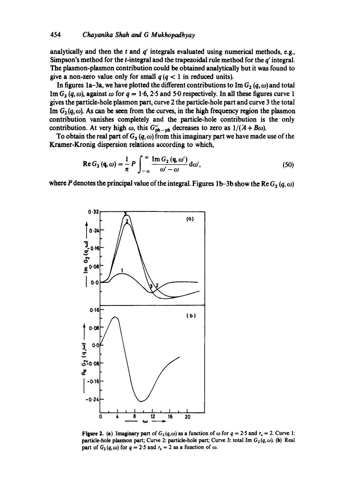analytically and then the  $t$  and  $q'$  integrals evaluated using numerical methods, e.g., Simpson's method for the  $t$ -integral and the trapezoidal rule method for the  $q'$  integral. The plasmon-plasmon contribution could be obtained analytically but it was found to give a non-zero value only for small  $q (q < 1)$  in reduced units).

In figures 1a-3a, we have plotted the different contributions to Im  $G_2(q,\omega)$  and total Im  $G_2$  (q,  $\omega$ ), against  $\omega$  for  $q = 1.6$ , 2.5 and 5.0 respectively. In all these figures curve 1 gives the particle-hole plasmon part, curve 2 the particle-hole part and curve 3 the total Im  $G_2(q,\omega)$ . As can be seen from the curves, in the high frequency region the plasmon contribution vanishes completely and the particle-hole contribution is the only contribution. At very high  $\omega$ , this  $G''_{\rm ph-ph}$  decreases to zero as  $1/(A + B\omega)$ .

To obtain the real part of  $G_2(q,\omega)$  from this imaginary part we have made use of the Kramer-Kronig dispersion relations according to which,

$$
\operatorname{Re} G_2(\mathbf{q}, \omega) = \frac{1}{\pi} P \int_{-\infty}^{\infty} \frac{\operatorname{Im} G_2(\mathbf{q}, \omega')}{\omega' - \omega} d\omega', \tag{50}
$$

where P denotes the principal value of the integral. Figures 1b-3b show the Re  $G_2(q, \omega)$ 



Figure 2. (a) Imaginary part of  $G_2(q,\omega)$  as a function of  $\omega$  for  $q = 2.5$  and  $r_s = 2$ . Curve 1: particle-hole plasmon part; Curve 2: particle-hole part; Curve 3: total Im  $G_2(q,\omega)$ . (b) Real part of  $G_2(q,\omega)$  for  $q = 2.5$  and  $r_s = 2$  as a function of  $\omega$ .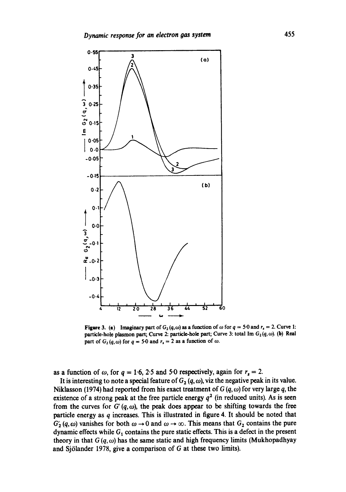

**Figure 3. (a)** Imaginary part of  $G_2(q,\omega)$  as a function of  $\omega$  for  $q = 5.0$  and  $r_s = 2$ . Curve 1: particle-hole plasmon part; Curve 2: particle-hole part; Curve 3: total Im  $G_2(q, \omega)$ . (b) Real part of  $G_2(q, \omega)$  for  $q = 5.0$  and  $r_s = 2$  as a function of  $\omega$ .

as a function of  $\omega$ , for  $q = 1.6$ , 2.5 and 5.0 respectively, again for  $r_s = 2$ .

It is interesting to note a special feature of  $G_2(q,\omega)$ , viz the negative peak in its value. Niklasson (1974) had reported from his exact treatment of  $G(q, \omega)$  for very large q, the existence of a strong peak at the free particle energy  $q<sup>2</sup>$  (in reduced units). As is seen from the curves for  $G'(q, \omega)$ , the peak does appear to be shifting towards the free **particle energy as q increases. This is illustrated in figure 4. It should be noted that**   $G'_{2}(q,\omega)$  vanishes for both  $\omega \rightarrow 0$  and  $\omega \rightarrow \infty$ . This means that  $G_{2}$  contains the pure dynamic effects while  $G_1$  contains the pure static effects. This is a defect in the present theory in that  $G(q, \omega)$  has the same static and high frequency limits (Mukhopadhyay **and Sj61ander 1978, give a comparison of G at these two limits).**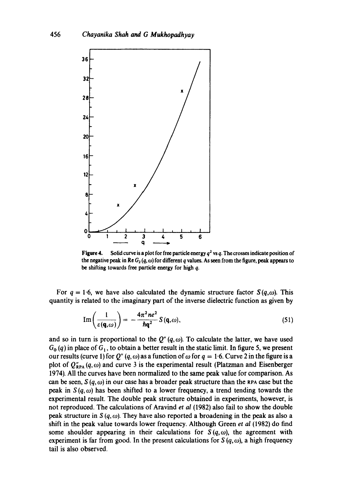

**Figure 4.** Solid curve is a plot for free particle energy  $q^2$  vs q. The crosses indicate position of the negative peak in Re  $G_2(q,\omega)$  for different q values. As seen from the figure, peak appears to be shifting towards free particle energy for high q.

For  $q = 1.6$ , we have also calculated the dynamic structure factor  $S(q,\omega)$ . This quantity is related to the imaginary part of the inverse dielectric function as given by

$$
\operatorname{Im}\left(\frac{1}{\varepsilon(\mathbf{q},\omega)}\right) = -\frac{4\pi^2 n e^2}{\hbar \mathbf{q}^2} S(\mathbf{q},\omega),\tag{51}
$$

and so in turn is proportional to the  $Q''(q,\omega)$ . To calculate the latter, we have used  $G_0$  (q) in place of  $G_1$ , to obtain a better result in the static limit. In figure 5, we present our results (curve 1) for  $Q''(q,\omega)$  as a function of  $\omega$  for  $q = 1.6$ . Curve 2 in the figure is a plot of  $Q''_{RPA}$  (q,  $\omega$ ) and curve 3 is the experimental result (Platzman and Eisenberger 1974). All the curves have been normalized to the same peak value for comparison. As can be seen,  $S(q,\omega)$  in our case has a broader peak structure than the RPA case but the peak in  $S(q, \omega)$  has been shifted to a lower frequency, a trend tending towards the experimental result. The double peak structure obtained in experiments, however, is not reproduced. The calculations of Aravind *et al* (1982) also fail to show the double peak structure in  $S(q, \omega)$ . They have also reported a broadening in the peak as also a shift in the peak value towards lower frequency. Although Green *et al* (1982) do find some shoulder appearing in their calculations for  $S(q,\omega)$ , the agreement with experiment is far from good. In the present calculations for  $S(q,\omega)$ , a high frequency tail is also observed.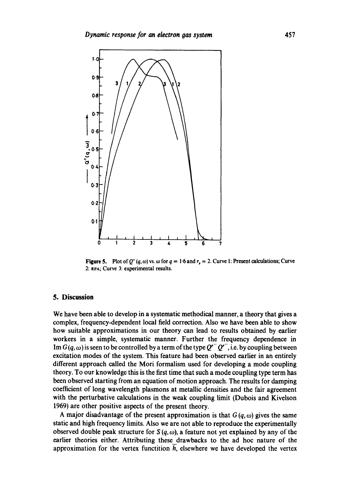

Figure 5. Plot of Q''  $(q, \omega)$  vs.  $\omega$  for  $q = 1.6$  and  $r_s = 2$ . Curve 1: Present calculations; Curve 2: ePA; Curve 3: experimental results.

### **5. Discussion**

We have been able to develop in a systematic methodical manner, a theory that gives a complex, frequency-dependent local field correction. Also we have been able to show how suitable approximations in our theory can lead to results obtained by earlier workers in a simple, systematic manner. Further the frequency dependence in Im  $G(q,\omega)$  is seen to be controlled by a term of the type  $Q^{r''}Q^{r''}$ , i.e. by coupling between excitation modes of the system. This feature had been observed earlier in an entirely different approach called the Mori formalism used for developing a mode coupling theory. To our knowledge this is the first time that such a mode coupling type term has been observed starting from an equation of motion approach. The results for damping coefficient of long wavelength plasmons at metallic densities and the fair agreement with the perturbative calculations in the weak coupling limit (Dubois and Kivelson *1969)* are other positive aspects of the present theory.

A major disadvantage of the present approximation is that  $G(q, \omega)$  gives the same static and high frequency limits. Also we are not able to reproduce the experimentally observed double peak structure for  $S(q, \omega)$ , a feature not yet explained by any of the earlier theories either. Attributing these drawbacks to the ad hoc nature of the approximation for the vertex functition  $h$ , elsewhere we have developed the vertex